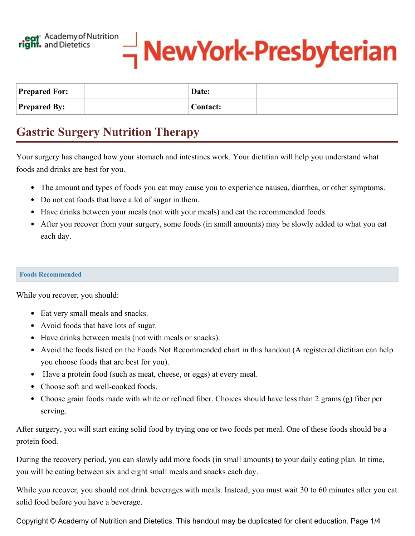



| <b>Prepared For:</b> | Date:           |  |
|----------------------|-----------------|--|
| <b>Prepared By:</b>  | <b>Contact:</b> |  |

## **Gastric Surgery Nutrition Therapy**

Your surgery has changed how your stomach and intestines work. Your dietitian will help you understand what foods and drinks are best for you.

- The amount and types of foods you eat may cause you to experience nausea, diarrhea, or other symptoms.
- Do not eat foods that have a lot of sugar in them.
- Have drinks between your meals (not with your meals) and eat the recommended foods.
- After you recover from your surgery, some foods (in small amounts) may be slowly added to what you eat each day.

## **Foods Recommended**

While you recover, you should:

- Eat very small meals and snacks.
- Avoid foods that have lots of sugar.
- Have drinks between meals (not with meals or snacks).
- Avoid the foods listed on the Foods Not Recommended chart in this handout (A registered dietitian can help you choose foods that are best for you).
- Have a protein food (such as meat, cheese, or eggs) at every meal.
- Choose soft and well-cooked foods.
- Choose grain foods made with white or refined fiber. Choices should have less than 2 grams (g) fiber per serving.

After surgery, you will start eating solid food by trying one or two foods per meal. One of these foods should be a protein food.

During the recovery period, you can slowly add more foods (in small amounts) to your daily eating plan. In time, you will be eating between six and eight small meals and snacks each day.

While you recover, you should not drink beverages with meals. Instead, you must wait 30 to 60 minutes after you eat solid food before you have a beverage.

Copyright © Academy of Nutrition and Dietetics. This handout may be duplicated for client education. Page 1/4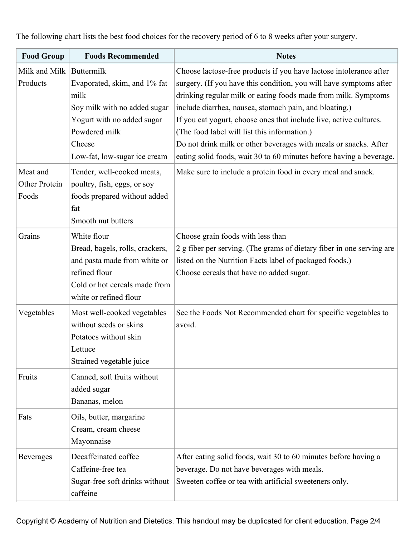| <b>Food Group</b>                     | <b>Foods Recommended</b>                                                                                                                                                                                  | <b>Notes</b>                                                                                                                                                                                                                                                                                                                                                                                                                                                                                                                                                                                          |
|---------------------------------------|-----------------------------------------------------------------------------------------------------------------------------------------------------------------------------------------------------------|-------------------------------------------------------------------------------------------------------------------------------------------------------------------------------------------------------------------------------------------------------------------------------------------------------------------------------------------------------------------------------------------------------------------------------------------------------------------------------------------------------------------------------------------------------------------------------------------------------|
| Milk and Milk<br>Products<br>Meat and | Buttermilk<br>Evaporated, skim, and 1% fat<br>milk<br>Soy milk with no added sugar<br>Yogurt with no added sugar<br>Powdered milk<br>Cheese<br>Low-fat, low-sugar ice cream<br>Tender, well-cooked meats, | Choose lactose-free products if you have lactose intolerance after<br>surgery. (If you have this condition, you will have symptoms after<br>drinking regular milk or eating foods made from milk. Symptoms<br>include diarrhea, nausea, stomach pain, and bloating.)<br>If you eat yogurt, choose ones that include live, active cultures.<br>(The food label will list this information.)<br>Do not drink milk or other beverages with meals or snacks. After<br>eating solid foods, wait 30 to 60 minutes before having a beverage.<br>Make sure to include a protein food in every meal and snack. |
| Other Protein<br>Foods                | poultry, fish, eggs, or soy<br>foods prepared without added<br>fat<br>Smooth nut butters                                                                                                                  |                                                                                                                                                                                                                                                                                                                                                                                                                                                                                                                                                                                                       |
| Grains                                | White flour<br>Bread, bagels, rolls, crackers,<br>and pasta made from white or<br>refined flour<br>Cold or hot cereals made from<br>white or refined flour                                                | Choose grain foods with less than<br>2 g fiber per serving. (The grams of dietary fiber in one serving are<br>listed on the Nutrition Facts label of packaged foods.)<br>Choose cereals that have no added sugar.                                                                                                                                                                                                                                                                                                                                                                                     |
| Vegetables                            | Most well-cooked vegetables<br>without seeds or skins<br>Potatoes without skin<br>Lettuce<br>Strained vegetable juice                                                                                     | See the Foods Not Recommended chart for specific vegetables to<br>avoid.                                                                                                                                                                                                                                                                                                                                                                                                                                                                                                                              |
| Fruits                                | Canned, soft fruits without<br>added sugar<br>Bananas, melon                                                                                                                                              |                                                                                                                                                                                                                                                                                                                                                                                                                                                                                                                                                                                                       |
| Fats                                  | Oils, butter, margarine<br>Cream, cream cheese<br>Mayonnaise                                                                                                                                              |                                                                                                                                                                                                                                                                                                                                                                                                                                                                                                                                                                                                       |
| <b>Beverages</b>                      | Decaffeinated coffee<br>Caffeine-free tea<br>Sugar-free soft drinks without<br>caffeine                                                                                                                   | After eating solid foods, wait 30 to 60 minutes before having a<br>beverage. Do not have beverages with meals.<br>Sweeten coffee or tea with artificial sweeteners only.                                                                                                                                                                                                                                                                                                                                                                                                                              |

The following chart lists the best food choices for the recovery period of 6 to 8 weeks after your surgery.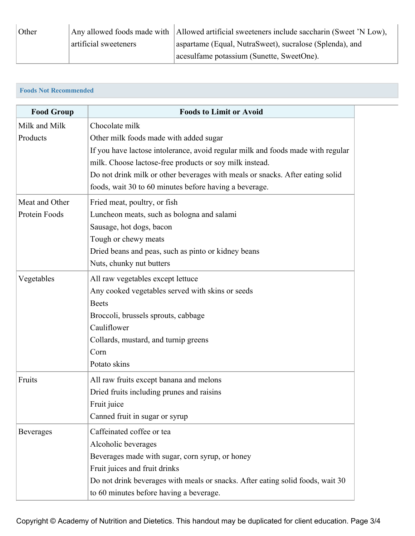| Other |                       | Any allowed foods made with   Allowed artificial sweeteners include saccharin (Sweet 'N Low), |
|-------|-----------------------|-----------------------------------------------------------------------------------------------|
|       | artificial sweeteners | aspartame (Equal, NutraSweet), sucralose (Splenda), and                                       |
|       |                       | acesulfame potassium (Sunette, SweetOne).                                                     |

## **Foods Not Recommended**

| <b>Food Group</b> | <b>Foods to Limit or Avoid</b>                                                  |
|-------------------|---------------------------------------------------------------------------------|
| Milk and Milk     | Chocolate milk                                                                  |
| Products          | Other milk foods made with added sugar                                          |
|                   | If you have lactose intolerance, avoid regular milk and foods made with regular |
|                   | milk. Choose lactose-free products or soy milk instead.                         |
|                   | Do not drink milk or other beverages with meals or snacks. After eating solid   |
|                   | foods, wait 30 to 60 minutes before having a beverage.                          |
| Meat and Other    | Fried meat, poultry, or fish                                                    |
| Protein Foods     | Luncheon meats, such as bologna and salami                                      |
|                   | Sausage, hot dogs, bacon                                                        |
|                   | Tough or chewy meats                                                            |
|                   | Dried beans and peas, such as pinto or kidney beans                             |
|                   | Nuts, chunky nut butters                                                        |
| Vegetables        | All raw vegetables except lettuce                                               |
|                   | Any cooked vegetables served with skins or seeds                                |
|                   | <b>Beets</b>                                                                    |
|                   | Broccoli, brussels sprouts, cabbage                                             |
|                   | Cauliflower                                                                     |
|                   | Collards, mustard, and turnip greens                                            |
|                   | Corn                                                                            |
|                   | Potato skins                                                                    |
| Fruits            | All raw fruits except banana and melons                                         |
|                   | Dried fruits including prunes and raisins                                       |
|                   | Fruit juice                                                                     |
|                   | Canned fruit in sugar or syrup                                                  |
| <b>Beverages</b>  | Caffeinated coffee or tea                                                       |
|                   | Alcoholic beverages                                                             |
|                   | Beverages made with sugar, corn syrup, or honey                                 |
|                   | Fruit juices and fruit drinks                                                   |
|                   | Do not drink beverages with meals or snacks. After eating solid foods, wait 30  |
|                   | to 60 minutes before having a beverage.                                         |

Copyright © Academy of Nutrition and Dietetics. This handout may be duplicated for client education. Page 3/4